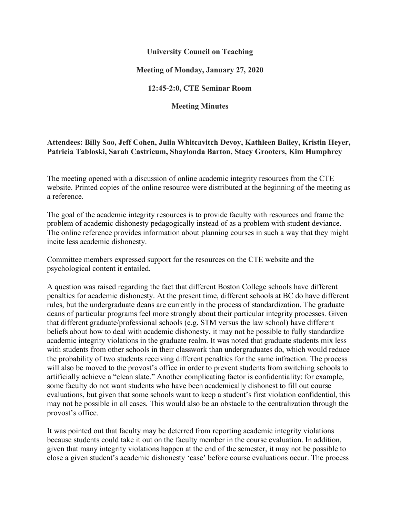## **University Council on Teaching**

## **Meeting of Monday, January 27, 2020**

#### **12:45-2:0, CTE Seminar Room**

**Meeting Minutes**

# **Attendees: Billy Soo, Jeff Cohen, Julia Whitcavitch Devoy, Kathleen Bailey, Kristin Heyer, Patricia Tabloski, Sarah Castricum, Shaylonda Barton, Stacy Grooters, Kim Humphrey**

The meeting opened with a discussion of online academic integrity resources from the CTE website. Printed copies of the online resource were distributed at the beginning of the meeting as a reference.

The goal of the academic integrity resources is to provide faculty with resources and frame the problem of academic dishonesty pedagogically instead of as a problem with student deviance. The online reference provides information about planning courses in such a way that they might incite less academic dishonesty.

Committee members expressed support for the resources on the CTE website and the psychological content it entailed.

A question was raised regarding the fact that different Boston College schools have different penalties for academic dishonesty. At the present time, different schools at BC do have different rules, but the undergraduate deans are currently in the process of standardization. The graduate deans of particular programs feel more strongly about their particular integrity processes. Given that different graduate/professional schools (e.g. STM versus the law school) have different beliefs about how to deal with academic dishonesty, it may not be possible to fully standardize academic integrity violations in the graduate realm. It was noted that graduate students mix less with students from other schools in their classwork than undergraduates do, which would reduce the probability of two students receiving different penalties for the same infraction. The process will also be moved to the provost's office in order to prevent students from switching schools to artificially achieve a "clean slate." Another complicating factor is confidentiality: for example, some faculty do not want students who have been academically dishonest to fill out course evaluations, but given that some schools want to keep a student's first violation confidential, this may not be possible in all cases. This would also be an obstacle to the centralization through the provost's office.

It was pointed out that faculty may be deterred from reporting academic integrity violations because students could take it out on the faculty member in the course evaluation. In addition, given that many integrity violations happen at the end of the semester, it may not be possible to close a given student's academic dishonesty 'case' before course evaluations occur. The process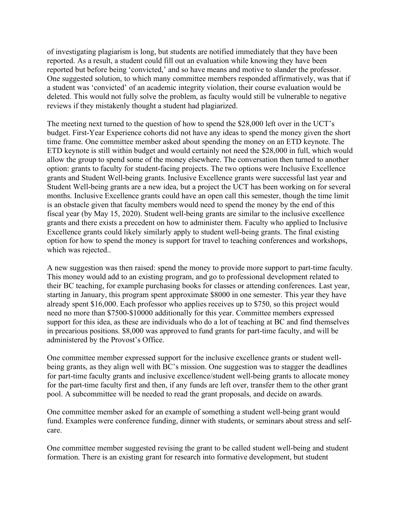of investigating plagiarism is long, but students are notified immediately that they have been reported. As a result, a student could fill out an evaluation while knowing they have been reported but before being 'convicted,' and so have means and motive to slander the professor. One suggested solution, to which many committee members responded affirmatively, was that if a student was 'convicted' of an academic integrity violation, their course evaluation would be deleted. This would not fully solve the problem, as faculty would still be vulnerable to negative reviews if they mistakenly thought a student had plagiarized.

The meeting next turned to the question of how to spend the \$28,000 left over in the UCT's budget. First-Year Experience cohorts did not have any ideas to spend the money given the short time frame. One committee member asked about spending the money on an ETD keynote. The ETD keynote is still within budget and would certainly not need the \$28,000 in full, which would allow the group to spend some of the money elsewhere. The conversation then turned to another option: grants to faculty for student-facing projects. The two options were Inclusive Excellence grants and Student Well-being grants. Inclusive Excellence grants were successful last year and Student Well-being grants are a new idea, but a project the UCT has been working on for several months. Inclusive Excellence grants could have an open call this semester, though the time limit is an obstacle given that faculty members would need to spend the money by the end of this fiscal year (by May 15, 2020). Student well-being grants are similar to the inclusive excellence grants and there exists a precedent on how to administer them. Faculty who applied to Inclusive Excellence grants could likely similarly apply to student well-being grants. The final existing option for how to spend the money is support for travel to teaching conferences and workshops, which was rejected..

A new suggestion was then raised: spend the money to provide more support to part-time faculty. This money would add to an existing program, and go to professional development related to their BC teaching, for example purchasing books for classes or attending conferences. Last year, starting in January, this program spent approximate \$8000 in one semester. This year they have already spent \$16,000. Each professor who applies receives up to \$750, so this project would need no more than \$7500-\$10000 additionally for this year. Committee members expressed support for this idea, as these are individuals who do a lot of teaching at BC and find themselves in precarious positions. \$8,000 was approved to fund grants for part-time faculty, and will be administered by the Provost's Office.

One committee member expressed support for the inclusive excellence grants or student wellbeing grants, as they align well with BC's mission. One suggestion was to stagger the deadlines for part-time faculty grants and inclusive excellence/student well-being grants to allocate money for the part-time faculty first and then, if any funds are left over, transfer them to the other grant pool. A subcommittee will be needed to read the grant proposals, and decide on awards.

One committee member asked for an example of something a student well-being grant would fund. Examples were conference funding, dinner with students, or seminars about stress and selfcare.

One committee member suggested revising the grant to be called student well-being and student formation. There is an existing grant for research into formative development, but student